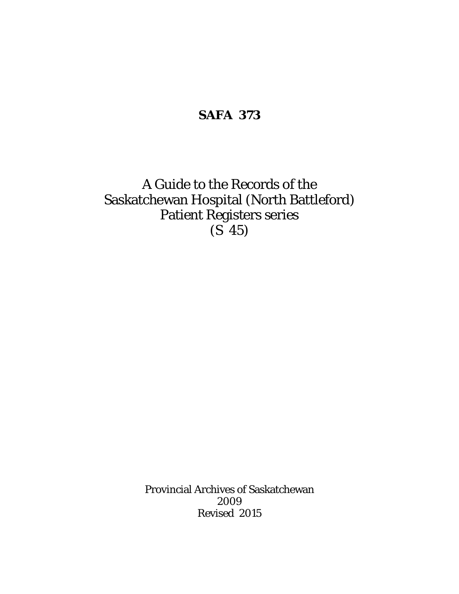### **SAFA 373**

A Guide to the Records of the Saskatchewan Hospital (North Battleford) Patient Registers series (S 45)

> Provincial Archives of Saskatchewan 2009 Revised 2015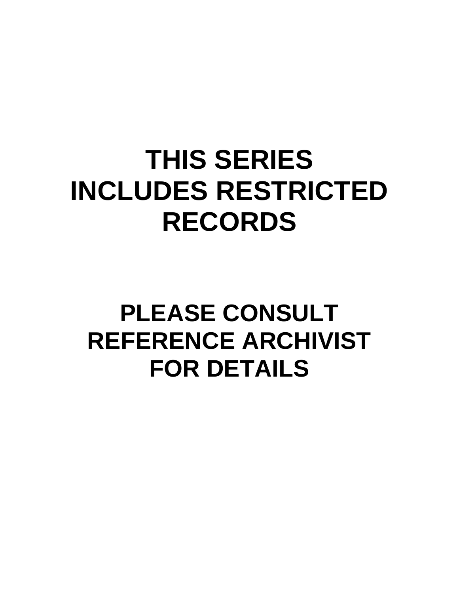# **THIS SERIES INCLUDES RESTRICTED RECORDS**

# **PLEASE CONSULT REFERENCE ARCHIVIST FOR DETAILS**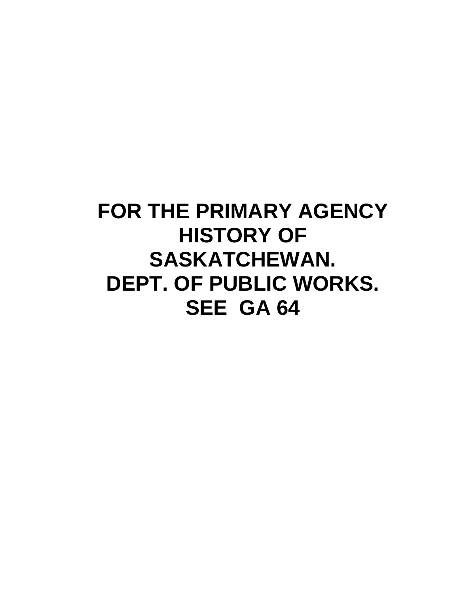## **FOR THE PRIMARY AGENCY HISTORY OF SASKATCHEWAN. DEPT. OF PUBLIC WORKS. SEE GA 64**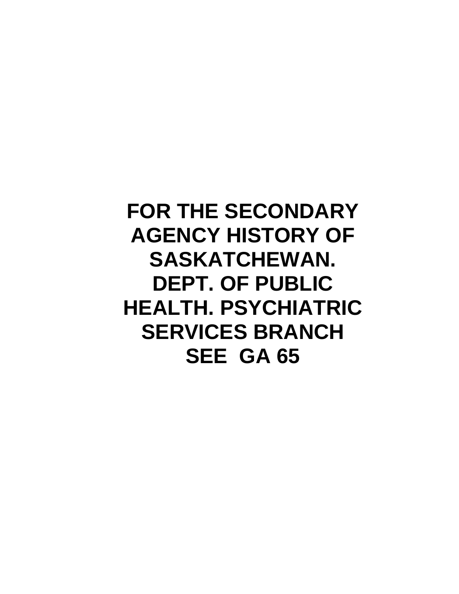## **FOR THE SECONDARY AGENCY HISTORY OF SASKATCHEWAN. DEPT. OF PUBLIC HEALTH. PSYCHIATRIC SERVICES BRANCH SEE GA 65**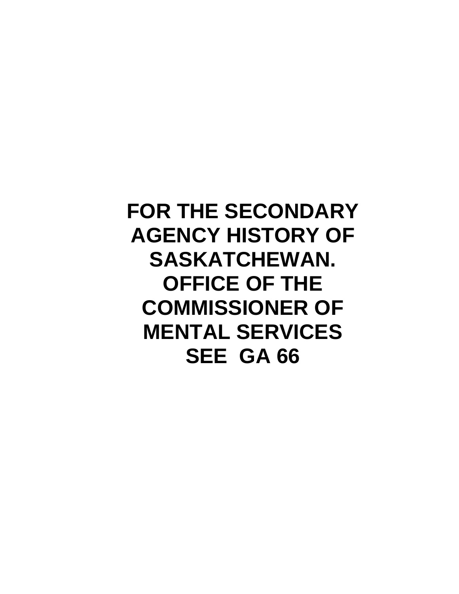## **FOR THE SECONDARY AGENCY HISTORY OF SASKATCHEWAN. OFFICE OF THE COMMISSIONER OF MENTAL SERVICES SEE GA 66**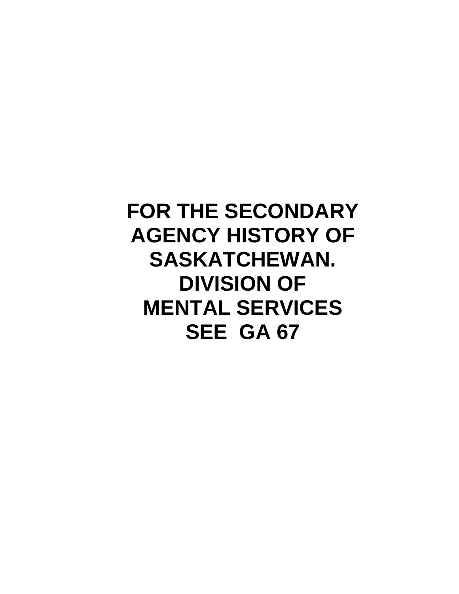## **FOR THE SECONDARY AGENCY HISTORY OF SASKATCHEWAN. DIVISION OF MENTAL SERVICES SEE GA 67**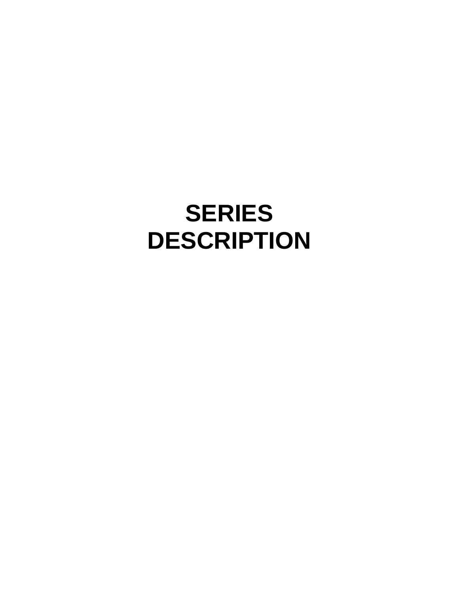# **SERIES DESCRIPTION**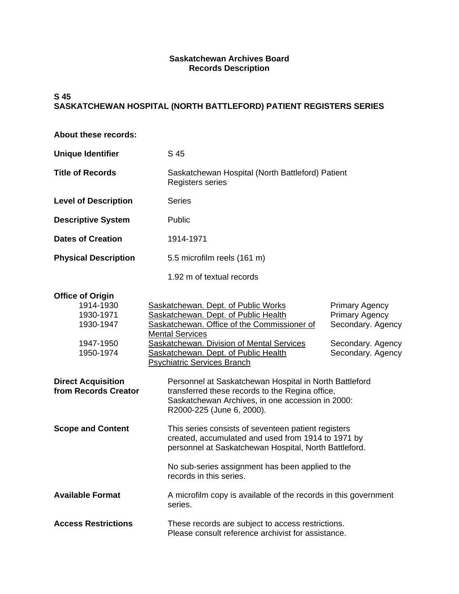#### **Saskatchewan Archives Board Records Description**

#### **S 45 SASKATCHEWAN HOSPITAL (NORTH BATTLEFORD) PATIENT REGISTERS SERIES**

| About these records:                                                                                                                          |                                                                                                                                                                                                                                                                                                                                                                                              |                                                                                                               |  |
|-----------------------------------------------------------------------------------------------------------------------------------------------|----------------------------------------------------------------------------------------------------------------------------------------------------------------------------------------------------------------------------------------------------------------------------------------------------------------------------------------------------------------------------------------------|---------------------------------------------------------------------------------------------------------------|--|
| <b>Unique Identifier</b>                                                                                                                      | S 45                                                                                                                                                                                                                                                                                                                                                                                         |                                                                                                               |  |
| <b>Title of Records</b>                                                                                                                       | Saskatchewan Hospital (North Battleford) Patient<br><b>Registers series</b>                                                                                                                                                                                                                                                                                                                  |                                                                                                               |  |
| <b>Level of Description</b>                                                                                                                   | <b>Series</b>                                                                                                                                                                                                                                                                                                                                                                                |                                                                                                               |  |
| <b>Descriptive System</b>                                                                                                                     | Public                                                                                                                                                                                                                                                                                                                                                                                       |                                                                                                               |  |
| <b>Dates of Creation</b>                                                                                                                      | 1914-1971                                                                                                                                                                                                                                                                                                                                                                                    |                                                                                                               |  |
| <b>Physical Description</b>                                                                                                                   | 5.5 microfilm reels (161 m)                                                                                                                                                                                                                                                                                                                                                                  |                                                                                                               |  |
|                                                                                                                                               | 1.92 m of textual records                                                                                                                                                                                                                                                                                                                                                                    |                                                                                                               |  |
| <b>Office of Origin</b><br>1914-1930<br>1930-1971<br>1930-1947<br>1947-1950<br>1950-1974<br><b>Direct Acquisition</b><br>from Records Creator | Saskatchewan. Dept. of Public Works<br>Saskatchewan. Dept. of Public Health<br>Saskatchewan. Office of the Commissioner of<br><b>Mental Services</b><br>Saskatchewan. Division of Mental Services<br>Saskatchewan. Dept. of Public Health<br><b>Psychiatric Services Branch</b><br>Personnel at Saskatchewan Hospital in North Battleford<br>transferred these records to the Regina office, | <b>Primary Agency</b><br><b>Primary Agency</b><br>Secondary. Agency<br>Secondary. Agency<br>Secondary. Agency |  |
|                                                                                                                                               | Saskatchewan Archives, in one accession in 2000:<br>R2000-225 (June 6, 2000).                                                                                                                                                                                                                                                                                                                |                                                                                                               |  |
| <b>Scope and Content</b>                                                                                                                      | This series consists of seventeen patient registers<br>created, accumulated and used from 1914 to 1971 by<br>personnel at Saskatchewan Hospital, North Battleford.                                                                                                                                                                                                                           |                                                                                                               |  |
|                                                                                                                                               | records in this series.                                                                                                                                                                                                                                                                                                                                                                      | No sub-series assignment has been applied to the                                                              |  |
| <b>Available Format</b>                                                                                                                       | A microfilm copy is available of the records in this government<br>series.                                                                                                                                                                                                                                                                                                                   |                                                                                                               |  |
| <b>Access Restrictions</b>                                                                                                                    | These records are subject to access restrictions.<br>Please consult reference archivist for assistance.                                                                                                                                                                                                                                                                                      |                                                                                                               |  |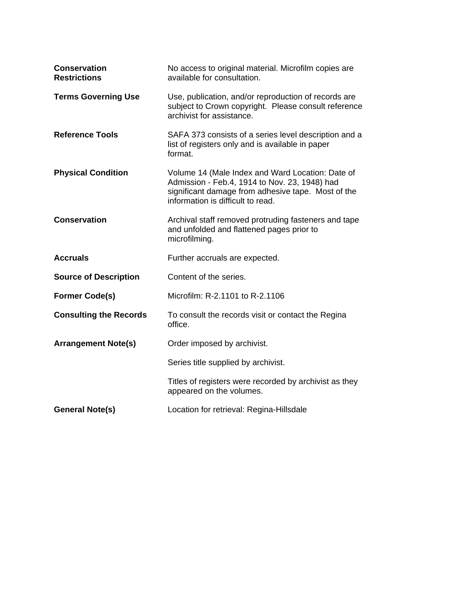| <b>Conservation</b><br><b>Restrictions</b> | No access to original material. Microfilm copies are<br>available for consultation.                                                                                                          |
|--------------------------------------------|----------------------------------------------------------------------------------------------------------------------------------------------------------------------------------------------|
| <b>Terms Governing Use</b>                 | Use, publication, and/or reproduction of records are<br>subject to Crown copyright. Please consult reference<br>archivist for assistance.                                                    |
| <b>Reference Tools</b>                     | SAFA 373 consists of a series level description and a<br>list of registers only and is available in paper<br>format.                                                                         |
| <b>Physical Condition</b>                  | Volume 14 (Male Index and Ward Location: Date of<br>Admission - Feb.4, 1914 to Nov. 23, 1948) had<br>significant damage from adhesive tape. Most of the<br>information is difficult to read. |
| <b>Conservation</b>                        | Archival staff removed protruding fasteners and tape<br>and unfolded and flattened pages prior to<br>microfilming.                                                                           |
| <b>Accruals</b>                            | Further accruals are expected.                                                                                                                                                               |
| <b>Source of Description</b>               | Content of the series.                                                                                                                                                                       |
| <b>Former Code(s)</b>                      | Microfilm: R-2.1101 to R-2.1106                                                                                                                                                              |
| <b>Consulting the Records</b>              | To consult the records visit or contact the Regina<br>office.                                                                                                                                |
| <b>Arrangement Note(s)</b>                 | Order imposed by archivist.                                                                                                                                                                  |
|                                            | Series title supplied by archivist.                                                                                                                                                          |
|                                            | Titles of registers were recorded by archivist as they<br>appeared on the volumes.                                                                                                           |
| <b>General Note(s)</b>                     | Location for retrieval: Regina-Hillsdale                                                                                                                                                     |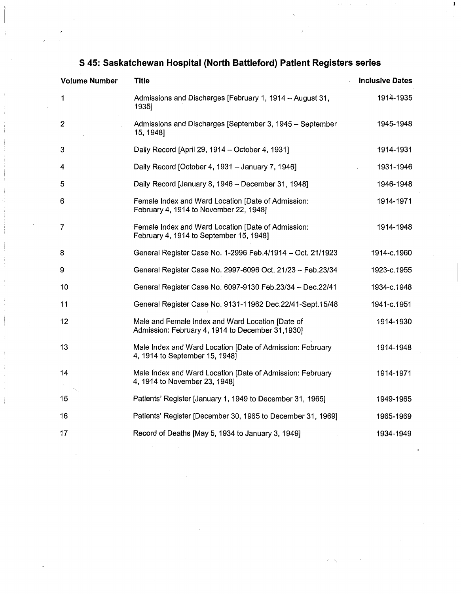| <b>Volume Number</b> | <b>Title</b>                                                                                         | <b>Inclusive Dates</b> |
|----------------------|------------------------------------------------------------------------------------------------------|------------------------|
| 1                    | Admissions and Discharges [February 1, 1914 - August 31,<br>1935]                                    | 1914-1935              |
| $\overline{2}$       | Admissions and Discharges [September 3, 1945 - September<br>15, 1948]                                | 1945-1948              |
| 3                    | Daily Record [April 29, 1914 – October 4, 1931]                                                      | 1914-1931              |
| 4                    | Daily Record [October 4, 1931 - January 7, 1946]                                                     | 1931-1946              |
| 5                    | Daily Record [January 8, 1946 - December 31, 1948]                                                   | 1946-1948              |
| 6                    | Female Index and Ward Location [Date of Admission:<br>February 4, 1914 to November 22, 1948]         | 1914-1971              |
| 7                    | Female Index and Ward Location [Date of Admission:<br>February 4, 1914 to September 15, 1948]        | 1914-1948              |
| 8                    | General Register Case No. 1-2996 Feb.4/1914 - Oct. 21/1923                                           | 1914-c.1960            |
| 9                    | General Register Case No. 2997-6096 Oct. 21/23 - Feb.23/34                                           | 1923-c.1955            |
| 10                   | General Register Case No. 6097-9130 Feb.23/34 - Dec.22/41                                            | 1934-c.1948            |
| 11                   | General Register Case No. 9131-11962 Dec.22/41-Sept.15/48                                            | 1941-c.1951            |
| 12                   | Male and Female Index and Ward Location [Date of<br>Admission: February 4, 1914 to December 31,1930] | 1914-1930              |
| 13                   | Male Index and Ward Location [Date of Admission: February<br>4, 1914 to September 15, 1948]          | 1914-1948              |
| 14                   | Male Index and Ward Location [Date of Admission: February<br>4, 1914 to November 23, 1948]           | 1914-1971              |
| 15                   | Patients' Register [January 1, 1949 to December 31, 1965]                                            | 1949-1965              |
| 16                   | Patients' Register [December 30, 1965 to December 31, 1969]                                          | 1965-1969              |
| 17                   | Record of Deaths [May 5, 1934 to January 3, 1949]                                                    | 1934-1949              |

### **S 45: Saskatchewan Hospital (North Battleford) Patient Registers series**